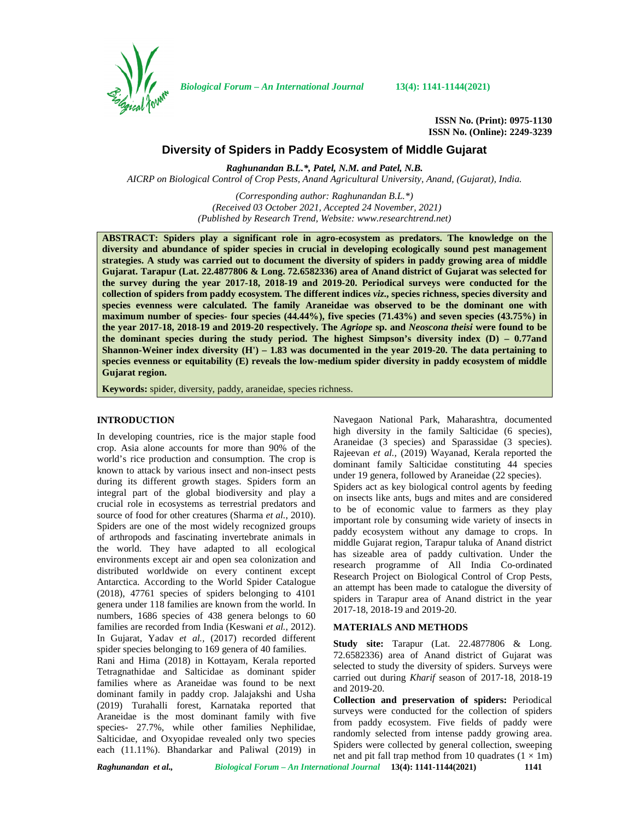

*Biological Forum – An International Journal* **13(4): 1141-1144(2021)**

**ISSN No. (Print): 0975-1130 ISSN No. (Online): 2249-3239**

# **Diversity of Spiders in Paddy Ecosystem of Middle Gujarat**

*Raghunandan B.L.\*, Patel, N.M. and Patel, N.B. AICRP on Biological Control of Crop Pests, Anand Agricultural University, Anand, (Gujarat), India.*

> *(Corresponding author: Raghunandan B.L.\*) (Received 03 October 2021, Accepted 24 November, 2021) (Published by Research Trend, Website: [www.researchtrend.net\)](www.researchtrend.net)*

**ABSTRACT: Spiders play a significant role in agro-ecosystem as predators. The knowledge on the diversity and abundance of spider species in crucial in developing ecologically sound pest management strategies. A study was carried out to document the diversity of spiders in paddy growing area of middle Gujarat. Tarapur (Lat. 22.4877806 & Long. 72.6582336) area of Anand district of Gujarat was selected for the survey during the year 2017-18, 2018-19 and 2019-20. Periodical surveys were conducted for the collection of spiders from paddy ecosystem. The different indices** *viz***., species richness, species diversity and species evenness were calculated. The family Araneidae was observed to be the dominant one with maximum number of species- four species (44.44%), five species (71.43%) and seven species (43.75%) in the year 2017-18, 2018-19 and 2019-20 respectively. The** *Agriope* **sp. and** *Neoscona theisi* **were found to be the dominant species during the study period. The highest Simpson's diversity index (D) – 0.77and Shannon-Weiner index diversity (H') – 1.83 was documented in the year 2019-20. The data pertaining to species evenness or equitability (E) reveals the low-medium spider diversity in paddy ecosystem of middle Gujarat region.**

**Keywords:** spider, diversity, paddy, araneidae, species richness.

#### **INTRODUCTION**

In developing countries, rice is the major staple food crop. Asia alone accounts for more than 90% of the world's rice production and consumption. The crop is known to attack by various insect and non-insect pests during its different growth stages. Spiders form an integral part of the global biodiversity and play a crucial role in ecosystems as terrestrial predators and source of food for other creatures (Sharma *et al.*, 2010). Spiders are one of the most widely recognized groups of arthropods and fascinating invertebrate animals in the world. They have adapted to all ecological environments except air and open sea colonization and distributed worldwide on every continent except Antarctica. According to the World Spider Catalogue (2018), 47761 species of spiders belonging to 4101 genera under 118 families are known from the world. In numbers, 1686 species of 438 genera belongs to 60 families are recorded from India (Keswani *et al.*, 2012). In Gujarat, Yadav *et al.,* (2017) recorded different spider species belonging to 169 genera of 40 families.

Rani and Hima (2018) in Kottayam, Kerala reported Tetragnathidae and Salticidae as dominant spider families where as Araneidae was found to be next dominant family in paddy crop. Jalajakshi and Usha (2019) Turahalli forest, Karnataka reported that Araneidae is the most dominant family with five species- 27.7%, while other families Nephilidae, Salticidae, and Oxyopidae revealed only two species each (11.11%). Bhandarkar and Paliwal (2019) in

Navegaon National Park, Maharashtra, documented high diversity in the family Salticidae (6 species), Araneidae (3 species) and Sparassidae (3 species). Rajeevan *et al.,* (2019) Wayanad, Kerala reported the dominant family Salticidae constituting 44 species under 19 genera, followed by Araneidae (22 species). Spiders act as key biological control agents by feeding on insects like ants, bugs and mites and are considered to be of economic value to farmers as they play important role by consuming wide variety of insects in paddy ecosystem without any damage to crops. In middle Gujarat region, Tarapur taluka of Anand district has sizeable area of paddy cultivation. Under the research programme of All India Co-ordinated Research Project on Biological Control of Crop Pests, an attempt has been made to catalogue the diversity of spiders in Tarapur area of Anand district in the year 2017-18, 2018-19 and 2019-20.

## **MATERIALS AND METHODS**

**Study site:** Tarapur (Lat. 22.4877806 & Long. 72.6582336) area of Anand district of Gujarat was selected to study the diversity of spiders. Surveys were carried out during *Kharif* season of 2017-18, 2018-19 and 2019-20.

**Collection and preservation of spiders:** Periodical surveys were conducted for the collection of spiders from paddy ecosystem. Five fields of paddy were randomly selected from intense paddy growing area. Spiders were collected by general collection, sweeping net and pit fall trap method from 10 quadrates  $(1 \times 1m)$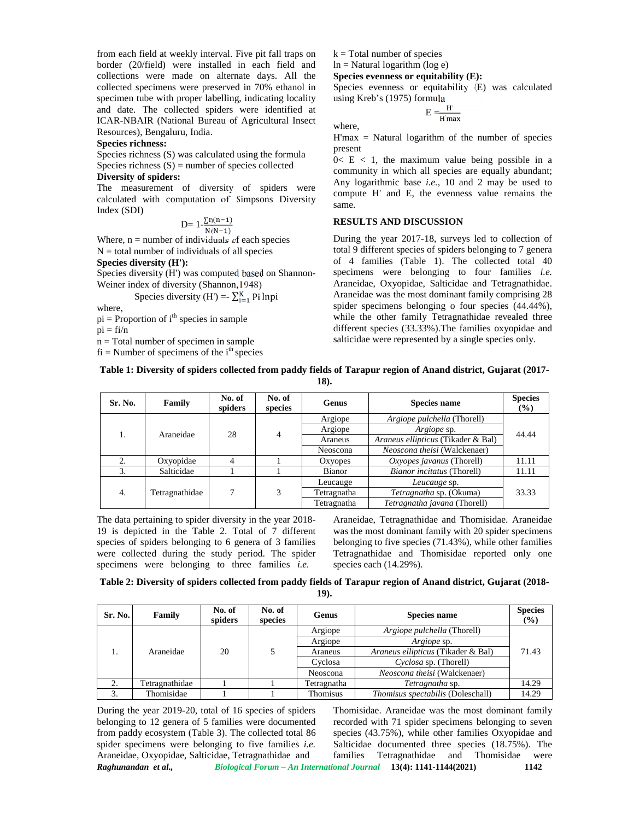from each field at weekly interval. Five pit fall traps on border (20/field) were installed in each field and collections were made on alternate days. All the collected specimens were preserved in 70% ethanol in specimen tube with proper labelling, indicating locality and date. The collected spiders were identified at ICAR-NBAIR (National Bureau of Agricultural Insect Resources), Bengaluru, India.

## **Species richness:**

Species richness (S) was calculated using the formula Species richness  $(S)$  = number of species collected

## **Diversity of spiders:**

The measurement of diversity of spiders were calculated with computation of Simpsons Diversity Index (SDI)

$$
D=1-\frac{\sum n(n-1)}{N(N-1)}
$$

Where,  $n =$  number of individuals of each species  $N =$  total number of individuals of all species

#### **Species diversity (H'):**

Species diversity (H') was computed based on Shannon- Weiner index of diversity (Shannon,1948)

Species diversity (H') =  $\sum_{i=1}^{K}$  Pi lnpi

where,

 $pi =$  Proportion of  $i<sup>th</sup>$  species in sample

 $pi = f_i/n$ 

n = Total number of specimen in sample

 $fi =$ Number of specimens of the  $i<sup>th</sup>$  species

 $k = Total number of species$ 

where,

 $ln =$  Natural logarithm (log e)

**Species evenness or equitability (E):**

Species evenness or equitability (E) was calculated using Kreb's (1975) formula

$$
E = \frac{H'}{H'max}
$$

 $H'$ max = Natural logarithm of the number of species present

 $0 < E < 1$ , the maximum value being possible in a community in which all species are equally abundant; Any logarithmic base *i.e.*, 10 and 2 may be used to compute H' and E, the evenness value remains the same.

## **RESULTS AND DISCUSSION**

During the year 2017-18, surveys led to collection of total 9 different species of spiders belonging to 7 genera of 4 families (Table 1). The collected total 40 specimens were belonging to four families *i.e.* Araneidae, Oxyopidae, Salticidae and Tetragnathidae. Araneidae was the most dominant family comprising 28 spider specimens belonging o four species (44.44%), while the other family Tetragnathidae revealed three different species (33.33%).The families oxyopidae and salticidae were represented by a single species only.

# **Table 1: Diversity of spiders collected from paddy fields of Tarapur region of Anand district, Gujarat (2017-**

**18).**

| Sr. No. | Family         | No. of<br>spiders | No. of<br>species | <b>Genus</b> | <b>Species name</b>                | <b>Species</b><br>(%) |  |
|---------|----------------|-------------------|-------------------|--------------|------------------------------------|-----------------------|--|
|         | Araneidae      | 28                | 4                 | Argiope      | Argiope pulchella (Thorell)        | 44.44                 |  |
|         |                |                   |                   | Argiope      | Argiope sp.                        |                       |  |
|         |                |                   |                   | Araneus      | Araneus ellipticus (Tikader & Bal) |                       |  |
|         |                |                   |                   | Neoscona     | Neoscona theisi (Walckenaer)       |                       |  |
|         | Oxyopidae      |                   |                   | Oxyopes      | Oxyopes javanus (Thorell)          | 11.11                 |  |
|         | Salticidae     |                   |                   | Bianor       | Bianor incitatus (Thorell)         | 11.11                 |  |
| 4.      | Tetragnathidae |                   | 3                 | Leucauge     | Leucauge sp.                       |                       |  |
|         |                |                   |                   | Tetragnatha  | Tetragnatha sp. (Okuma)            | 33.33                 |  |
|         |                |                   |                   | Tetragnatha  | Tetragnatha javana (Thorell)       |                       |  |

The data pertaining to spider diversity in the year 2018- 19 is depicted in the Table 2. Total of 7 different species of spiders belonging to 6 genera of 3 families were collected during the study period. The spider specimens were belonging to three families *i.e.*

Araneidae, Tetragnathidae and Thomisidae. Araneidae was the most dominant family with 20 spider specimens belonging to five species (71.43%), while other families Tetragnathidae and Thomisidae reported only one species each (14.29%).

## **Table 2: Diversity of spiders collected from paddy fields of Tarapur region of Anand district, Gujarat (2018- 19).**

| Sr. No. | Family         | No. of<br>spiders | No. of<br>species | Genus       | <b>Species name</b>                      | <b>Species</b><br>$\frac{9}{6}$ |  |
|---------|----------------|-------------------|-------------------|-------------|------------------------------------------|---------------------------------|--|
|         |                |                   |                   | Argiope     | Argiope pulchella (Thorell)              |                                 |  |
|         | Araneidae      | 20                |                   | Argiope     | <i>Argiope</i> sp.                       | 71.43                           |  |
|         |                |                   |                   | Araneus     | Araneus ellipticus (Tikader & Bal)       |                                 |  |
|         |                |                   |                   | Cyclosa     | Cyclosa sp. (Thorell)                    |                                 |  |
|         |                |                   |                   | Neoscona    | Neoscona theisi (Walckenaer)             |                                 |  |
| ۷.      | Tetragnathidae |                   |                   | Tetragnatha | Tetragnatha sp.                          | 14.29                           |  |
|         | Thomisidae     |                   |                   | Thomisus    | <i>Thomisus spectabilis</i> (Doleschall) | 14.29                           |  |

*Raghunandan et al., Biological Forum – An International Journal* **13(4): 1141-1144(2021) 1142** During the year 2019-20, total of 16 species of spiders belonging to 12 genera of 5 families were documented from paddy ecosystem (Table 3). The collected total 86 spider specimens were belonging to five families *i.e.* Araneidae, Oxyopidae, Salticidae, Tetragnathidae and

Thomisidae. Araneidae was the most dominant family recorded with 71 spider specimens belonging to seven species (43.75%), while other families Oxyopidae and Salticidae documented three species (18.75%). The families Tetragnathidae and Thomisidae were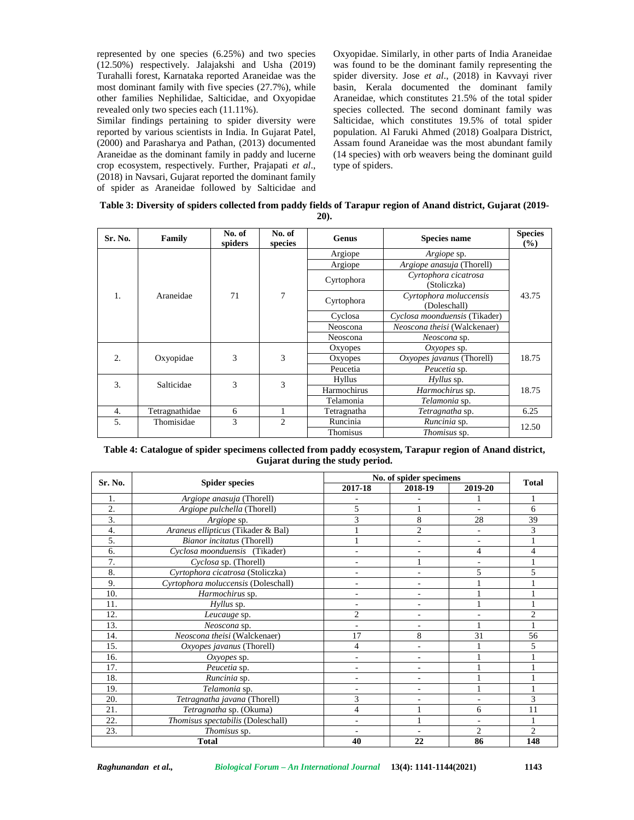represented by one species (6.25%) and two species (12.50%) respectively. Jalajakshi and Usha (2019) Turahalli forest, Karnataka reported Araneidae was the most dominant family with five species (27.7%), while other families Nephilidae, Salticidae, and Oxyopidae revealed only two species each (11.11%).

Similar findings pertaining to spider diversity were reported by various scientists in India. In Gujarat Patel, (2000) and Parasharya and Pathan, (2013) documented Araneidae as the dominant family in paddy and lucerne crop ecosystem, respectively. Further, Prajapati *et al*., (2018) in Navsari, Gujarat reported the dominant family of spider as Araneidae followed by Salticidae and Oxyopidae. Similarly, in other parts of India Araneidae was found to be the dominant family representing the spider diversity. Jose *et al*., (2018) in Kavvayi river basin, Kerala documented the dominant family Araneidae, which constitutes 21.5% of the total spider species collected. The second dominant family was Salticidae, which constitutes 19.5% of total spider population. Al Faruki Ahmed (2018) Goalpara District, Assam found Araneidae was the most abundant family (14 species) with orb weavers being the dominant guild type of spiders.

| Table 3: Diversity of spiders collected from paddy fields of Tarapur region of Anand district, Gujarat (2019- |  |
|---------------------------------------------------------------------------------------------------------------|--|
| $20$ .                                                                                                        |  |

| Sr. No.                       | Family         | No. of<br>spiders | No. of<br>species | <b>Genus</b>                                      | <b>Species name</b>                    | <b>Species</b><br>(%) |  |
|-------------------------------|----------------|-------------------|-------------------|---------------------------------------------------|----------------------------------------|-----------------------|--|
|                               |                |                   |                   | Argiope                                           | <i>Argiope</i> sp.                     |                       |  |
|                               |                |                   |                   | Argiope                                           | Argiope anasuja (Thorell)              |                       |  |
| 1.                            | Araneidae      |                   | 7                 | Cyrtophora cicatrosa<br>Cyrtophora<br>(Stoliczka) |                                        |                       |  |
|                               |                | 71                |                   | Cyrtophora                                        | Cyrtophora moluccensis<br>(Doleschall) | 43.75                 |  |
|                               |                |                   |                   | Cyclosa                                           | Cyclosa moonduensis (Tikader)          |                       |  |
|                               |                |                   |                   | Neoscona                                          | Neoscona theisi (Walckenaer)           |                       |  |
|                               |                |                   |                   | Neoscona                                          | Neoscona sp.                           |                       |  |
|                               |                |                   |                   | Oxyopes                                           | $Ox\gamma$ opes sp.                    |                       |  |
| $\overline{2}$ .<br>Oxyopidae |                | 3                 | 3                 | Oxyopes                                           | Oxyopes javanus (Thorell)              | 18.75                 |  |
|                               |                |                   |                   | Peucetia                                          | Peucetia sp.                           |                       |  |
|                               |                | 3                 | 3                 | Hyllus                                            | Hyllus sp.                             |                       |  |
| 3.                            | Salticidae     |                   |                   | Harmochirus                                       | Harmochirus sp.                        | 18.75                 |  |
|                               |                |                   | Telamonia         | Telamonia sp.                                     |                                        |                       |  |
| $\overline{4}$ .              | Tetragnathidae | 6                 |                   | Tetragnatha                                       | Tetragnatha sp.                        | 6.25                  |  |
| 5.                            | Thomisidae     | 3                 | $\mathfrak{D}$    | Runcinia                                          | Runcinia sp.                           |                       |  |
|                               |                |                   |                   | Thomisus                                          | Thomisus sp.                           | 12.50                 |  |

## **Table 4: Catalogue of spider specimens collected from paddy ecosystem, Tarapur region of Anand district, Gujarat during the study period.**

| Sr. No. |                                     | No. of spider specimens  | <b>Total</b>   |                |                             |  |
|---------|-------------------------------------|--------------------------|----------------|----------------|-----------------------------|--|
|         | <b>Spider species</b>               | 2017-18                  | 2018-19        | 2019-20        |                             |  |
| 1.      | Argiope anasuja (Thorell)           |                          |                |                |                             |  |
| 2.      | Argiope pulchella (Thorell)         | 5                        |                | ۰              | 6                           |  |
| 3.      | Argiope sp.                         | 3                        | 8              | 28             | 39                          |  |
| 4.      | Araneus ellipticus (Tikader & Bal)  |                          | $\overline{2}$ |                | 3                           |  |
| 5.      | Bianor incitatus (Thorell)          |                          |                |                |                             |  |
| 6.      | Cyclosa moonduensis (Tikader)       |                          |                | 4              | 4                           |  |
| 7.      | Cyclosa sp. (Thorell)               | ٠                        |                |                |                             |  |
| 8.      | Cyrtophora cicatrosa (Stoliczka)    |                          |                | 5              | 5                           |  |
| 9.      | Cyrtophora moluccensis (Doleschall) | ٠                        | -              |                |                             |  |
| 10.     | Harmochirus sp.                     | ٠                        | -              |                |                             |  |
| 11.     | Hyllus sp.                          | $\overline{\phantom{a}}$ | -              |                |                             |  |
| 12.     | Leucauge sp.                        | $\overline{2}$           | ۰              |                | $\overline{2}$              |  |
| 13.     | Neoscona sp.                        |                          |                |                |                             |  |
| 14.     | Neoscona theisi (Walckenaer)        | 17                       | 8              | 31             | 56                          |  |
| 15.     | Oxyopes javanus (Thorell)           | 4                        | L.             |                | 5                           |  |
| 16.     | Oxyopes sp.                         |                          | ٠              |                |                             |  |
| 17.     | Peucetia sp.                        |                          | -              |                |                             |  |
| 18.     | Runcinia sp.                        | $\overline{\phantom{a}}$ | -              |                |                             |  |
| 19.     | Telamonia sp.                       |                          | ۰              |                |                             |  |
| 20.     | Tetragnatha javana (Thorell)        | 3                        |                |                | 3                           |  |
| 21.     | Tetragnatha sp. (Okuma)             | 4                        |                | 6              | 11                          |  |
| 22.     | Thomisus spectabilis (Doleschall)   | $\overline{a}$           |                |                |                             |  |
| 23.     | Thomisus sp.                        |                          |                | $\overline{2}$ | $\mathcal{D}_{\mathcal{L}}$ |  |
|         | 22<br><b>Total</b><br>40<br>86      |                          |                |                | 148                         |  |